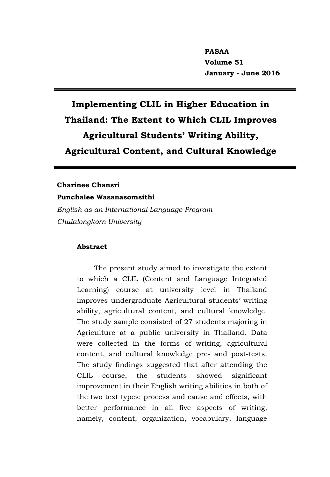# **Implementing CLIL in Higher Education in Thailand: The Extent to Which CLIL Improves Agricultural Students' Writing Ability, Agricultural Content, and Cultural Knowledge**

# **Charinee Chansri**

**Punchalee Wasanasomsithi** *English as an International Language Program Chulalongkorn University*

# **Abstract**

The present study aimed to investigate the extent to which a CLIL (Content and Language Integrated Learning) course at university level in Thailand improves undergraduate Agricultural students' writing ability, agricultural content, and cultural knowledge. The study sample consisted of 27 students majoring in Agriculture at a public university in Thailand. Data were collected in the forms of writing, agricultural content, and cultural knowledge pre- and post-tests. The study findings suggested that after attending the CLIL course, the students showed significant improvement in their English writing abilities in both of the two text types: process and cause and effects, with better performance in all five aspects of writing, namely, content, organization, vocabulary, language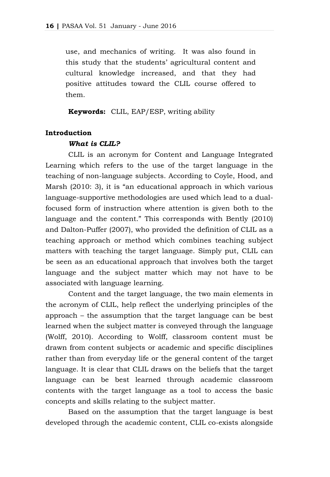use, and mechanics of writing. It was also found in this study that the students' agricultural content and cultural knowledge increased, and that they had positive attitudes toward the CLIL course offered to them.

**Keywords:** CLIL, EAP/ESP, writing ability

### **Introduction**

### *What is CLIL?*

CLIL is an acronym for Content and Language Integrated Learning which refers to the use of the target language in the teaching of non-language subjects. According to Coyle, Hood, and Marsh (2010: 3), it is "an educational approach in which various language-supportive methodologies are used which lead to a dualfocused form of instruction where attention is given both to the language and the content." This corresponds with Bently (2010) and Dalton-Puffer (2007), who provided the definition of CLIL as a teaching approach or method which combines teaching subject matters with teaching the target language. Simply put, CLIL can be seen as an educational approach that involves both the target language and the subject matter which may not have to be associated with language learning.

Content and the target language, the two main elements in the acronym of CLIL, help reflect the underlying principles of the approach – the assumption that the target language can be best learned when the subject matter is conveyed through the language (Wolff, 2010). According to Wolff, classroom content must be drawn from content subjects or academic and specific disciplines rather than from everyday life or the general content of the target language. It is clear that CLIL draws on the beliefs that the target language can be best learned through academic classroom contents with the target language as a tool to access the basic concepts and skills relating to the subject matter.

Based on the assumption that the target language is best developed through the academic content, CLIL co-exists alongside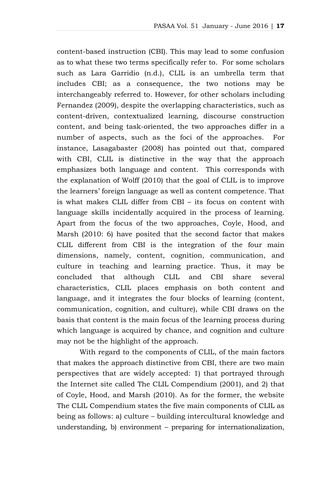content-based instruction (CBI). This may lead to some confusion as to what these two terms specifically refer to. For some scholars such as Lara Garridio (n.d.), CLIL is an umbrella term that includes CBI; as a consequence, the two notions may be interchangeably referred to. However, for other scholars including Fernandez (2009), despite the overlapping characteristics, such as content-driven, contextualized learning, discourse construction content, and being task-oriented, the two approaches differ in a number of aspects, such as the foci of the approaches. For instance, Lasagabaster (2008) has pointed out that, compared with CBI, CLIL is distinctive in the way that the approach emphasizes both language and content. This corresponds with the explanation of Wolff (2010) that the goal of CLIL is to improve the learners' foreign language as well as content competence. That is what makes CLIL differ from CBI – its focus on content with language skills incidentally acquired in the process of learning. Apart from the focus of the two approaches, Coyle, Hood, and Marsh (2010: 6) have posited that the second factor that makes CLIL different from CBI is the integration of the four main dimensions, namely, content, cognition, communication, and culture in teaching and learning practice. Thus, it may be concluded that although CLIL and CBI share several characteristics, CLIL places emphasis on both content and language, and it integrates the four blocks of learning (content, communication, cognition, and culture), while CBI draws on the basis that content is the main focus of the learning process during which language is acquired by chance, and cognition and culture may not be the highlight of the approach.

With regard to the components of CLIL, of the main factors that makes the approach distinctive from CBI, there are two main perspectives that are widely accepted: 1) that portrayed through the Internet site called The CLIL Compendium (2001), and 2) that of Coyle, Hood, and Marsh (2010). As for the former, the website The CLIL Compendium states the five main components of CLIL as being as follows: a) culture – building intercultural knowledge and understanding, b) environment – preparing for internationalization,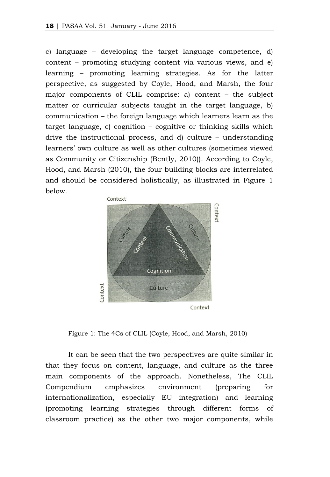c) language – developing the target language competence, d) content – promoting studying content via various views, and e) learning – promoting learning strategies. As for the latter perspective, as suggested by Coyle, Hood, and Marsh, the four major components of CLIL comprise: a) content – the subject matter or curricular subjects taught in the target language, b) communication – the foreign language which learners learn as the target language, c) cognition – cognitive or thinking skills which drive the instructional process, and d) culture – understanding learners' own culture as well as other cultures (sometimes viewed as Community or Citizenship (Bently, 2010)). According to Coyle, Hood, and Marsh (2010), the four building blocks are interrelated and should be considered holistically, as illustrated in Figure 1 below.



Figure 1: The 4Cs of CLIL (Coyle, Hood, and Marsh, 2010)

It can be seen that the two perspectives are quite similar in that they focus on content, language, and culture as the three main components of the approach. Nonetheless, The CLIL Compendium emphasizes environment (preparing for internationalization, especially EU integration) and learning (promoting learning strategies through different forms of classroom practice) as the other two major components, while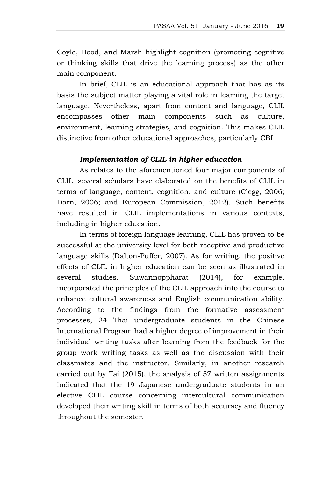Coyle, Hood, and Marsh highlight cognition (promoting cognitive or thinking skills that drive the learning process) as the other main component.

In brief, CLIL is an educational approach that has as its basis the subject matter playing a vital role in learning the target language. Nevertheless, apart from content and language, CLIL encompasses other main components such as culture, environment, learning strategies, and cognition. This makes CLIL distinctive from other educational approaches, particularly CBI.

# *Implementation of CLIL in higher education*

As relates to the aforementioned four major components of CLIL, several scholars have elaborated on the benefits of CLIL in terms of language, content, cognition, and culture (Clegg, 2006; Darn, 2006; and European Commission, 2012). Such benefits have resulted in CLIL implementations in various contexts, including in higher education.

In terms of foreign language learning, CLIL has proven to be successful at the university level for both receptive and productive language skills (Dalton-Puffer, 2007). As for writing, the positive effects of CLIL in higher education can be seen as illustrated in several studies. Suwannoppharat (2014), for example, incorporated the principles of the CLIL approach into the course to enhance cultural awareness and English communication ability. According to the findings from the formative assessment processes, 24 Thai undergraduate students in the Chinese International Program had a higher degree of improvement in their individual writing tasks after learning from the feedback for the group work writing tasks as well as the discussion with their classmates and the instructor. Similarly, in another research carried out by Tai (2015), the analysis of 57 written assignments indicated that the 19 Japanese undergraduate students in an elective CLIL course concerning intercultural communication developed their writing skill in terms of both accuracy and fluency throughout the semester.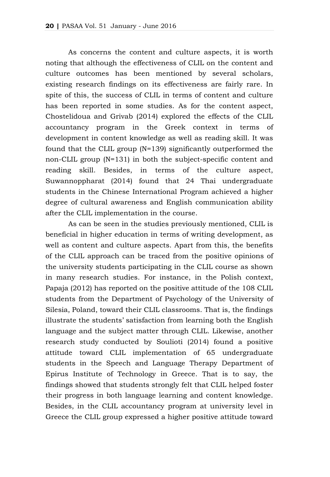As concerns the content and culture aspects, it is worth noting that although the effectiveness of CLIL on the content and culture outcomes has been mentioned by several scholars, existing research findings on its effectiveness are fairly rare. In spite of this, the success of CLIL in terms of content and culture has been reported in some studies. As for the content aspect, Chostelidoua and Grivab (2014) explored the effects of the CLIL accountancy program in the Greek context in terms of development in content knowledge as well as reading skill. It was found that the CLIL group (N=139) significantly outperformed the non-CLIL group (N=131) in both the subject-specific content and reading skill. Besides, in terms of the culture aspect, Suwannoppharat (2014) found that 24 Thai undergraduate students in the Chinese International Program achieved a higher degree of cultural awareness and English communication ability after the CLIL implementation in the course.

As can be seen in the studies previously mentioned, CLIL is beneficial in higher education in terms of writing development, as well as content and culture aspects. Apart from this, the benefits of the CLIL approach can be traced from the positive opinions of the university students participating in the CLIL course as shown in many research studies. For instance, in the Polish context, Papaja (2012) has reported on the positive attitude of the 108 CLIL students from the Department of Psychology of the University of Silesia, Poland, toward their CLIL classrooms. That is, the findings illustrate the students' satisfaction from learning both the English language and the subject matter through CLIL. Likewise, another research study conducted by Soulioti (2014) found a positive attitude toward CLIL implementation of 65 undergraduate students in the Speech and Language Therapy Department of Epirus Institute of Technology in Greece. That is to say, the findings showed that students strongly felt that CLIL helped foster their progress in both language learning and content knowledge. Besides, in the CLIL accountancy program at university level in Greece the CLIL group expressed a higher positive attitude toward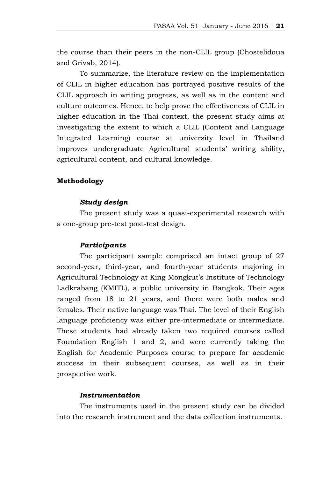the course than their peers in the non-CLIL group (Chostelidoua and Grivab, 2014).

To summarize, the literature review on the implementation of CLIL in higher education has portrayed positive results of the CLIL approach in writing progress, as well as in the content and culture outcomes. Hence, to help prove the effectiveness of CLIL in higher education in the Thai context, the present study aims at investigating the extent to which a CLIL (Content and Language Integrated Learning) course at university level in Thailand improves undergraduate Agricultural students' writing ability, agricultural content, and cultural knowledge.

# **Methodology**

### *Study design*

The present study was a quasi-experimental research with a one-group pre-test post-test design.

### *Participants*

The participant sample comprised an intact group of 27 second-year, third-year, and fourth-year students majoring in Agricultural Technology at King Mongkut's Institute of Technology Ladkrabang (KMITL), a public university in Bangkok. Their ages ranged from 18 to 21 years, and there were both males and females. Their native language was Thai. The level of their English language proficiency was either pre-intermediate or intermediate. These students had already taken two required courses called Foundation English 1 and 2, and were currently taking the English for Academic Purposes course to prepare for academic success in their subsequent courses, as well as in their prospective work.

# *Instrumentation*

The instruments used in the present study can be divided into the research instrument and the data collection instruments.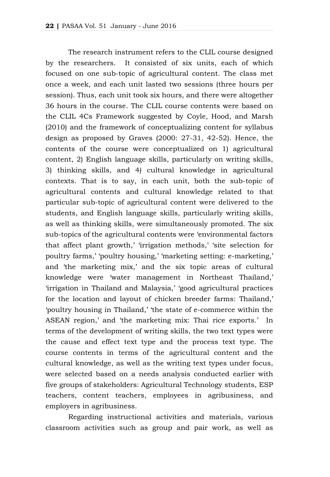The research instrument refers to the CLIL course designed by the researchers. It consisted of six units, each of which focused on one sub-topic of agricultural content. The class met once a week, and each unit lasted two sessions (three hours per session). Thus, each unit took six hours, and there were altogether 36 hours in the course. The CLIL course contents were based on the CLIL 4Cs Framework suggested by Coyle, Hood, and Marsh (2010) and the framework of conceptualizing content for syllabus design as proposed by Graves (2000: 27-31, 42-52). Hence, the contents of the course were conceptualized on 1) agricultural content, 2) English language skills, particularly on writing skills, 3) thinking skills, and 4) cultural knowledge in agricultural contexts. That is to say, in each unit, both the sub-topic of agricultural contents and cultural knowledge related to that particular sub-topic of agricultural content were delivered to the students, and English language skills, particularly writing skills, as well as thinking skills, were simultaneously promoted. The six sub-topics of the agricultural contents were 'environmental factors that affect plant growth,' 'irrigation methods,' 'site selection for poultry farms,' 'poultry housing,' 'marketing setting: e-marketing,' and 'the marketing mix,' and the six topic areas of cultural knowledge were 'water management in Northeast Thailand,' 'irrigation in Thailand and Malaysia,' 'good agricultural practices for the location and layout of chicken breeder farms: Thailand,' 'poultry housing in Thailand,' 'the state of e-commerce within the ASEAN region,' and 'the marketing mix: Thai rice exports.' In terms of the development of writing skills, the two text types were the cause and effect text type and the process text type. The course contents in terms of the agricultural content and the cultural knowledge, as well as the writing text types under focus, were selected based on a needs analysis conducted earlier with five groups of stakeholders: Agricultural Technology students, ESP teachers, content teachers, employees in agribusiness, and employers in agribusiness.

Regarding instructional activities and materials, various classroom activities such as group and pair work, as well as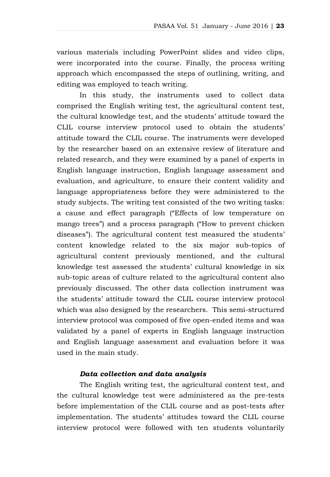various materials including PowerPoint slides and video clips, were incorporated into the course. Finally, the process writing approach which encompassed the steps of outlining, writing, and editing was employed to teach writing.

In this study, the instruments used to collect data comprised the English writing test, the agricultural content test, the cultural knowledge test, and the students' attitude toward the CLIL course interview protocol used to obtain the students' attitude toward the CLIL course. The instruments were developed by the researcher based on an extensive review of literature and related research, and they were examined by a panel of experts in English language instruction, English language assessment and evaluation, and agriculture, to ensure their content validity and language appropriateness before they were administered to the study subjects. The writing test consisted of the two writing tasks: a cause and effect paragraph ("Effects of low temperature on mango trees") and a process paragraph ("How to prevent chicken diseases"). The agricultural content test measured the students' content knowledge related to the six major sub-topics of agricultural content previously mentioned, and the cultural knowledge test assessed the students' cultural knowledge in six sub-topic areas of culture related to the agricultural content also previously discussed. The other data collection instrument was the students' attitude toward the CLIL course interview protocol which was also designed by the researchers. This semi-structured interview protocol was composed of five open-ended items and was validated by a panel of experts in English language instruction and English language assessment and evaluation before it was used in the main study.

# *Data collection and data analysis*

The English writing test, the agricultural content test, and the cultural knowledge test were administered as the pre-tests before implementation of the CLIL course and as post-tests after implementation. The students' attitudes toward the CLIL course interview protocol were followed with ten students voluntarily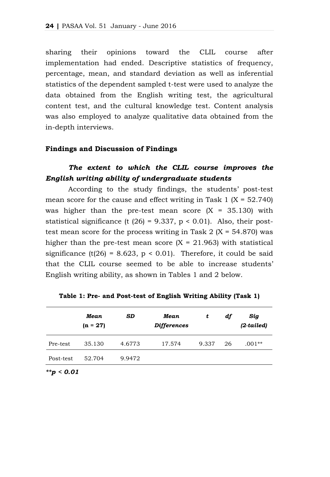sharing their opinions toward the CLIL course after implementation had ended. Descriptive statistics of frequency, percentage, mean, and standard deviation as well as inferential statistics of the dependent sampled t-test were used to analyze the data obtained from the English writing test, the agricultural content test, and the cultural knowledge test. Content analysis was also employed to analyze qualitative data obtained from the in-depth interviews.

### **Findings and Discussion of Findings**

# *The extent to which the CLIL course improves the English writing ability of undergraduate students*

According to the study findings, the students' post-test mean score for the cause and effect writing in Task  $1 (X = 52.740)$ was higher than the pre-test mean score  $(X = 35.130)$  with statistical significance (t  $(26) = 9.337$ ,  $p < 0.01$ ). Also, their posttest mean score for the process writing in Task  $2 (X = 54.870)$  was higher than the pre-test mean score  $(X = 21.963)$  with statistical significance (t(26) = 8.623,  $p < 0.01$ ). Therefore, it could be said that the CLIL course seemed to be able to increase students' English writing ability, as shown in Tables 1 and 2 below.

|           | Mean<br>$(n = 27)$ | SD     | Mean<br><b>Differences</b> | t     | df | Sig<br>$(2-tailed)$ |
|-----------|--------------------|--------|----------------------------|-------|----|---------------------|
| Pre-test  | 35.130             | 4.6773 | 17.574                     | 9.337 | 26 | $.001**$            |
| Post-test | 52.704             | 9.9472 |                            |       |    |                     |
|           |                    |        |                            |       |    |                     |

**Table 1: Pre- and Post-test of English Writing Ability (Task 1)**

*\*\*p < 0.01*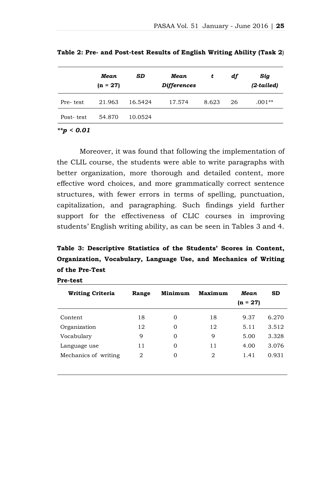|           | Mean<br>$(n = 27)$ | <b>SD</b> | Mean<br><b>Differences</b> | t     | df | Sig<br>(2-tailed) |
|-----------|--------------------|-----------|----------------------------|-------|----|-------------------|
| Pre-test  | 21.963             | 16.5424   | 17.574                     | 8.623 | 26 | .001**            |
| Post-test | 54.870             | 10.0524   |                            |       |    |                   |

**Table 2: Pre- and Post-test Results of English Writing Ability (Task 2**)

*\*\*p < 0.01*

Moreover, it was found that following the implementation of the CLIL course, the students were able to write paragraphs with better organization, more thorough and detailed content, more effective word choices, and more grammatically correct sentence structures, with fewer errors in terms of spelling, punctuation, capitalization, and paragraphing. Such findings yield further support for the effectiveness of CLIC courses in improving students' English writing ability, as can be seen in Tables 3 and 4.

**Table 3: Descriptive Statistics of the Students' Scores in Content, Organization, Vocabulary, Language Use, and Mechanics of Writing of the Pre-Test**

| <b>Writing Criteria</b> | Minimum<br>Range |          | Maximum | Mean       | <b>SD</b> |
|-------------------------|------------------|----------|---------|------------|-----------|
|                         |                  |          |         | $(n = 27)$ |           |
| Content                 | 18               | $\Omega$ | 18      | 9.37       | 6.270     |
| Organization            | 12               | $\Omega$ | 12      | 5.11       | 3.512     |
| Vocabulary              | 9                | $\Omega$ | 9       | 5.00       | 3.328     |
| Language use            | 11               | $\Omega$ | 11      | 4.00       | 3.076     |
| Mechanics of writing    | 2                | 0        | 2       | 1.41       | 0.931     |
|                         |                  |          |         |            |           |

**Pre-test**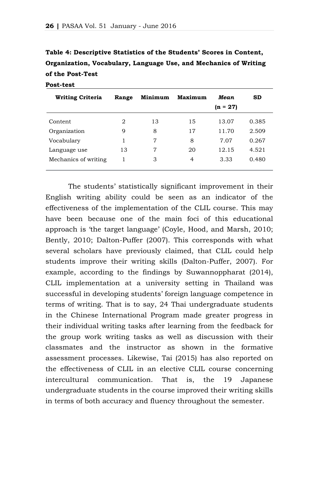| Organization, Vocabulary, Language Use, and Mechanics of Writing |
|------------------------------------------------------------------|
| of the Post-Test                                                 |
| Post-test                                                        |

**Table 4: Descriptive Statistics of the Students' Scores in Content,**

| <b>Writing Criteria</b> | Range | Minimum | <b>Maximum</b> | Mean<br>$(n = 27)$ | <b>SD</b> |
|-------------------------|-------|---------|----------------|--------------------|-----------|
| Content                 | 2     | 13      | 15             | 13.07              | 0.385     |
| Organization            | 9     | 8       | 17             | 11.70              | 2.509     |
| Vocabulary              |       | 7       | 8              | 7.07               | 0.267     |
| Language use            | 13    | 7       | 20             | 12.15              | 4.521     |
| Mechanics of writing    |       | 3       | 4              | 3.33               | 0.480     |

The students' statistically significant improvement in their English writing ability could be seen as an indicator of the effectiveness of the implementation of the CLIL course. This may have been because one of the main foci of this educational approach is 'the target language' (Coyle, Hood, and Marsh, 2010; Bently, 2010; Dalton-Puffer (2007). This corresponds with what several scholars have previously claimed, that CLIL could help students improve their writing skills (Dalton-Puffer, 2007). For example, according to the findings by Suwannoppharat (2014), CLIL implementation at a university setting in Thailand was successful in developing students' foreign language competence in terms of writing. That is to say, 24 Thai undergraduate students in the Chinese International Program made greater progress in their individual writing tasks after learning from the feedback for the group work writing tasks as well as discussion with their classmates and the instructor as shown in the formative assessment processes. Likewise, Tai (2015) has also reported on the effectiveness of CLIL in an elective CLIL course concerning intercultural communication. That is, the 19 Japanese undergraduate students in the course improved their writing skills in terms of both accuracy and fluency throughout the semester.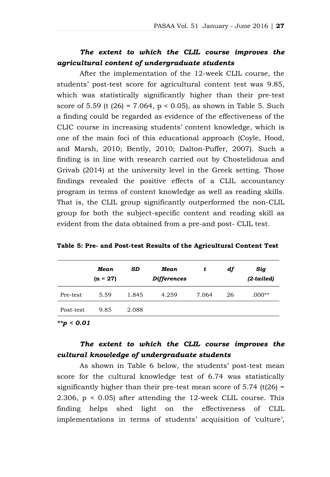# *The extent to which the CLIL course improves the agricultural content of undergraduate students*

After the implementation of the 12-week CLIL course, the students' post-test score for agricultural content test was 9.85, which was statistically significantly higher than their pre-test score of 5.59 (t  $(26) = 7.064$ ,  $p < 0.05$ ), as shown in Table 5. Such a finding could be regarded as evidence of the effectiveness of the CLIC course in increasing students' content knowledge, which is one of the main foci of this educational approach (Coyle, Hood, and Marsh, 2010; Bently, 2010; Dalton-Puffer, 2007). Such a finding is in line with research carried out by Chostelidoua and Grivab (2014) at the university level in the Greek setting. Those findings revealed the positive effects of a CLIL accountancy program in terms of content knowledge as well as reading skills. That is, the CLIL group significantly outperformed the non-CLIL group for both the subject-specific content and reading skill as evident from the data obtained from a pre-and post- CLIL test.

|           | Mean<br>$(n = 27)$ | <b>SD</b> | Mean<br><b>Differences</b> | t     | df | Sig<br>(2-tailed) |
|-----------|--------------------|-----------|----------------------------|-------|----|-------------------|
| Pre-test  | 5.59               | 1.845     | 4.259                      | 7.064 | 26 | $.000**$          |
| Post-test | 9.85               | 2.088     |                            |       |    |                   |

**Table 5: Pre- and Post-test Results of the Agricultural Content Test**

*\*\*p < 0.01*

# *The extent to which the CLIL course improves the cultural knowledge of undergraduate students*

As shown in Table 6 below, the students' post-test mean score for the cultural knowledge test of 6.74 was statistically significantly higher than their pre-test mean score of  $5.74$  (t( $26$ ) = 2.306, p < 0.05) after attending the 12-week CLIL course. This finding helps shed light on the effectiveness of CLIL implementations in terms of students' acquisition of 'culture',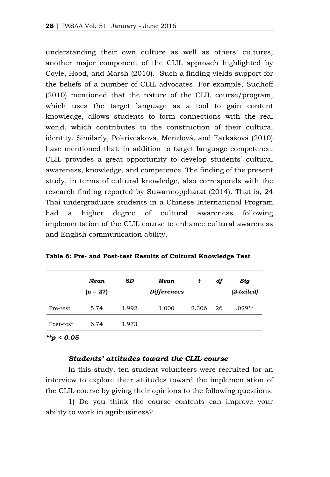understanding their own culture as well as others' cultures, another major component of the CLIL approach highlighted by Coyle, Hood, and Marsh (2010). Such a finding yields support for the beliefs of a number of CLIL advocates. For example, Sudhoff (2010) mentioned that the nature of the CLIL course/program, which uses the target language as a tool to gain content knowledge, allows students to form connections with the real world, which contributes to the construction of their cultural identity. Similarly, Pokrivcaková, Menzlová, and Farkašová (2010) have mentioned that, in addition to target language competence, CLIL provides a great opportunity to develop students' cultural awareness, knowledge, and competence. The finding of the present study, in terms of cultural knowledge, also corresponds with the research finding reported by Suwannoppharat (2014). That is, 24 Thai undergraduate students in a Chinese International Program had a higher degree of cultural awareness following implementation of the CLIL course to enhance cultural awareness and English communication ability.

|           | Mean<br>$(n = 27)$ | <b>SD</b> | Mean<br><b>Differences</b> | t     | df | Sig<br>(2-tailed) |
|-----------|--------------------|-----------|----------------------------|-------|----|-------------------|
| Pre-test  | 5.74               | 1.992     | 1.000                      | 2.306 | 26 | $.029**$          |
| Post-test | 6.74               | 1.973     |                            |       |    |                   |

**Table 6: Pre- and Post-test Results of Cultural Knowledge Test**

#### *\*\*p < 0.05*

# *Students' attitudes toward the CLIL course*

In this study, ten student volunteers were recruited for an interview to explore their attitudes toward the implementation of the CLIL course by giving their opinions to the following questions:

1) Do you think the course contents can improve your ability to work in agribusiness?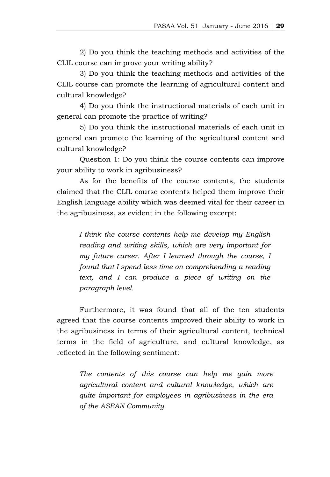2) Do you think the teaching methods and activities of the CLIL course can improve your writing ability?

3) Do you think the teaching methods and activities of the CLIL course can promote the learning of agricultural content and cultural knowledge?

4) Do you think the instructional materials of each unit in general can promote the practice of writing?

5) Do you think the instructional materials of each unit in general can promote the learning of the agricultural content and cultural knowledge?

Question 1: Do you think the course contents can improve your ability to work in agribusiness?

As for the benefits of the course contents, the students claimed that the CLIL course contents helped them improve their English language ability which was deemed vital for their career in the agribusiness, as evident in the following excerpt:

*I think the course contents help me develop my English reading and writing skills, which are very important for my future career. After I learned through the course, I found that I spend less time on comprehending a reading text, and I can produce a piece of writing on the paragraph level.*

Furthermore, it was found that all of the ten students agreed that the course contents improved their ability to work in the agribusiness in terms of their agricultural content, technical terms in the field of agriculture, and cultural knowledge, as reflected in the following sentiment:

*The contents of this course can help me gain more agricultural content and cultural knowledge, which are quite important for employees in agribusiness in the era of the ASEAN Community.*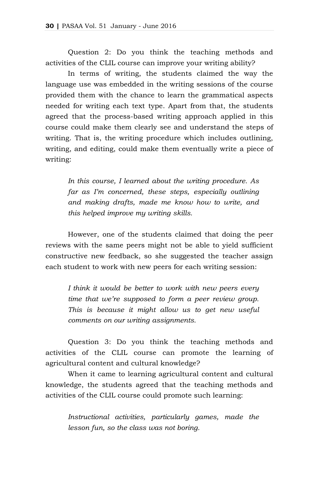Question 2: Do you think the teaching methods and activities of the CLIL course can improve your writing ability?

In terms of writing, the students claimed the way the language use was embedded in the writing sessions of the course provided them with the chance to learn the grammatical aspects needed for writing each text type. Apart from that, the students agreed that the process-based writing approach applied in this course could make them clearly see and understand the steps of writing. That is, the writing procedure which includes outlining, writing, and editing, could make them eventually write a piece of writing:

*In this course, I learned about the writing procedure. As far as I'm concerned, these steps, especially outlining and making drafts, made me know how to write, and this helped improve my writing skills.*

However, one of the students claimed that doing the peer reviews with the same peers might not be able to yield sufficient constructive new feedback, so she suggested the teacher assign each student to work with new peers for each writing session:

*I think it would be better to work with new peers every time that we're supposed to form a peer review group. This is because it might allow us to get new useful comments on our writing assignments.*

Question 3: Do you think the teaching methods and activities of the CLIL course can promote the learning of agricultural content and cultural knowledge?

When it came to learning agricultural content and cultural knowledge, the students agreed that the teaching methods and activities of the CLIL course could promote such learning:

*Instructional activities, particularly games, made the lesson fun, so the class was not boring.*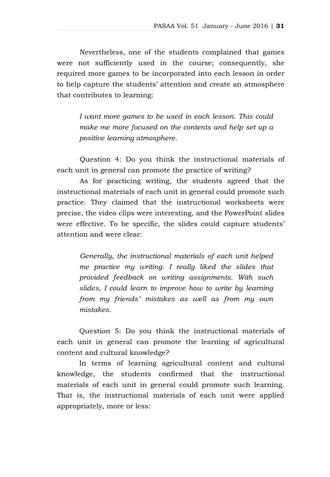Nevertheless, one of the students complained that games were not sufficiently used in the course; consequently, she required more games to be incorporated into each lesson in order to help capture the students' attention and create an atmosphere that contributes to learning:

*I want more games to be used in each lesson. This could make me more focused on the contents and help set up a positive learning atmosphere.*

Question 4: Do you think the instructional materials of each unit in general can promote the practice of writing?

As for practicing writing, the students agreed that the instructional materials of each unit in general could promote such practice. They claimed that the instructional worksheets were precise, the video clips were interesting, and the PowerPoint slides were effective. To be specific, the slides could capture students' attention and were clear:

*Generally, the instructional materials of each unit helped me practice my writing. I really liked the slides that provided feedback on writing assignments. With such slides, I could learn to improve how to write by learning from my friends' mistakes as well as from my own mistakes.*

Question 5: Do you think the instructional materials of each unit in general can promote the learning of agricultural content and cultural knowledge?

In terms of learning agricultural content and cultural knowledge, the students confirmed that the instructional materials of each unit in general could promote such learning. That is, the instructional materials of each unit were applied appropriately, more or less: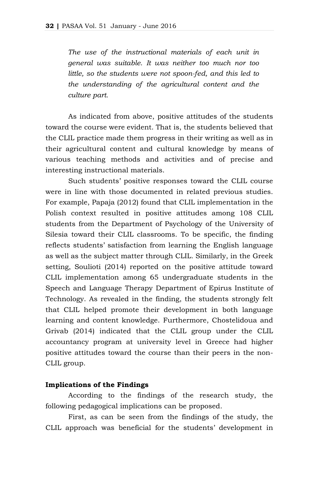*The use of the instructional materials of each unit in general was suitable. It was neither too much nor too little, so the students were not spoon-fed, and this led to the understanding of the agricultural content and the culture part.*

As indicated from above, positive attitudes of the students toward the course were evident. That is, the students believed that the CLIL practice made them progress in their writing as well as in their agricultural content and cultural knowledge by means of various teaching methods and activities and of precise and interesting instructional materials.

Such students' positive responses toward the CLIL course were in line with those documented in related previous studies. For example, Papaja (2012) found that CLIL implementation in the Polish context resulted in positive attitudes among 108 CLIL students from the Department of Psychology of the University of Silesia toward their CLIL classrooms. To be specific, the finding reflects students' satisfaction from learning the English language as well as the subject matter through CLIL. Similarly, in the Greek setting, Soulioti (2014) reported on the positive attitude toward CLIL implementation among 65 undergraduate students in the Speech and Language Therapy Department of Epirus Institute of Technology. As revealed in the finding, the students strongly felt that CLIL helped promote their development in both language learning and content knowledge. Furthermore, Chostelidoua and Grivab (2014) indicated that the CLIL group under the CLIL accountancy program at university level in Greece had higher positive attitudes toward the course than their peers in the non-CLIL group.

#### **Implications of the Findings**

According to the findings of the research study, the following pedagogical implications can be proposed.

First, as can be seen from the findings of the study, the CLIL approach was beneficial for the students' development in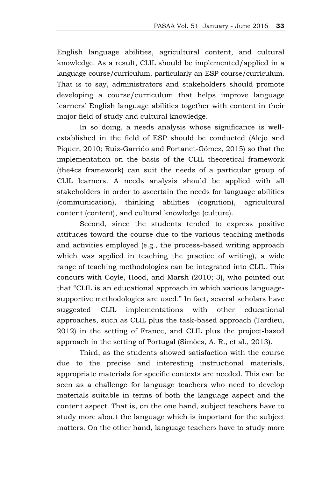English language abilities, agricultural content, and cultural knowledge. As a result, CLIL should be implemented/applied in a language course/curriculum, particularly an ESP course/curriculum. That is to say, administrators and stakeholders should promote developing a course/curriculum that helps improve language learners' English language abilities together with content in their major field of study and cultural knowledge.

In so doing, a needs analysis whose significance is wellestablished in the field of ESP should be conducted (Alejo and Piquer, 2010; Ruiz-Garrido and Fortanet-Gómez, 2015) so that the implementation on the basis of the CLIL theoretical framework (the4cs framework) can suit the needs of a particular group of CLIL learners. A needs analysis should be applied with all stakeholders in order to ascertain the needs for language abilities (communication), thinking abilities (cognition), agricultural content (content), and cultural knowledge (culture).

Second, since the students tended to express positive attitudes toward the course due to the various teaching methods and activities employed (e.g., the process-based writing approach which was applied in teaching the practice of writing), a wide range of teaching methodologies can be integrated into CLIL. This concurs with Coyle, Hood, and Marsh (2010; 3), who pointed out that "CLIL is an educational approach in which various languagesupportive methodologies are used." In fact, several scholars have suggested CLIL implementations with other educational approaches, such as CLIL plus the task-based approach (Tardieu, 2012) in the setting of France, and CLIL plus the project-based approach in the setting of Portugal (Simões, A. R., et al., 2013).

Third, as the students showed satisfaction with the course due to the precise and interesting instructional materials, appropriate materials for specific contexts are needed. This can be seen as a challenge for language teachers who need to develop materials suitable in terms of both the language aspect and the content aspect. That is, on the one hand, subject teachers have to study more about the language which is important for the subject matters. On the other hand, language teachers have to study more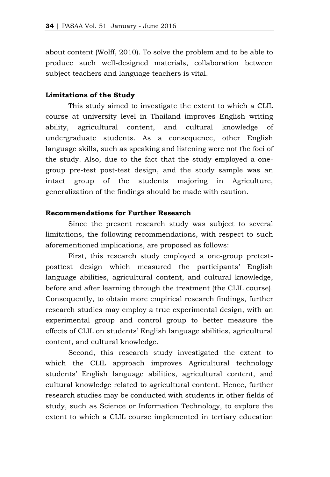about content (Wolff, 2010). To solve the problem and to be able to produce such well-designed materials, collaboration between subject teachers and language teachers is vital.

# **Limitations of the Study**

This study aimed to investigate the extent to which a CLIL course at university level in Thailand improves English writing ability, agricultural content, and cultural knowledge of undergraduate students. As a consequence, other English language skills, such as speaking and listening were not the foci of the study. Also, due to the fact that the study employed a onegroup pre-test post-test design, and the study sample was an intact group of the students majoring in Agriculture, generalization of the findings should be made with caution.

### **Recommendations for Further Research**

Since the present research study was subject to several limitations, the following recommendations, with respect to such aforementioned implications, are proposed as follows:

First, this research study employed a one-group pretestposttest design which measured the participants' English language abilities, agricultural content, and cultural knowledge, before and after learning through the treatment (the CLIL course). Consequently, to obtain more empirical research findings, further research studies may employ a true experimental design, with an experimental group and control group to better measure the effects of CLIL on students' English language abilities, agricultural content, and cultural knowledge.

Second, this research study investigated the extent to which the CLIL approach improves Agricultural technology students' English language abilities, agricultural content, and cultural knowledge related to agricultural content. Hence, further research studies may be conducted with students in other fields of study, such as Science or Information Technology, to explore the extent to which a CLIL course implemented in tertiary education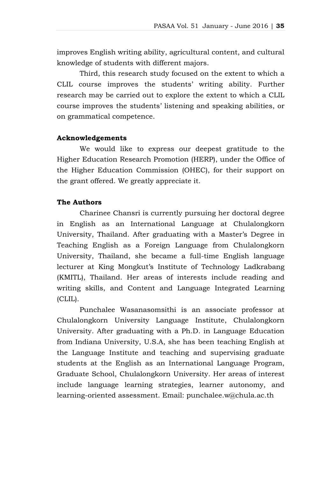improves English writing ability, agricultural content, and cultural knowledge of students with different majors.

Third, this research study focused on the extent to which a CLIL course improves the students' writing ability. Further research may be carried out to explore the extent to which a CLIL course improves the students' listening and speaking abilities, or on grammatical competence.

# **Acknowledgements**

We would like to express our deepest gratitude to the Higher Education Research Promotion (HERP), under the Office of the Higher Education Commission (OHEC), for their support on the grant offered. We greatly appreciate it.

# **The Authors**

Charinee Chansri is currently pursuing her doctoral degree in English as an International Language at Chulalongkorn University, Thailand. After graduating with a Master's Degree in Teaching English as a Foreign Language from Chulalongkorn University, Thailand, she became a full-time English language lecturer at King Mongkut's Institute of Technology Ladkrabang (KMITL), Thailand. Her areas of interests include reading and writing skills, and Content and Language Integrated Learning (CLIL).

Punchalee Wasanasomsithi is an associate professor at Chulalongkorn University Language Institute, Chulalongkorn University. After graduating with a Ph.D. in Language Education from Indiana University, U.S.A, she has been teaching English at the Language Institute and teaching and supervising graduate students at the English as an International Language Program, Graduate School, Chulalongkorn University. Her areas of interest include language learning strategies, learner autonomy, and learning-oriented assessment. Email: punchalee.w@chula.ac.th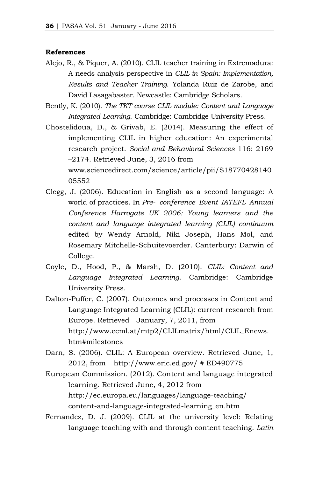### **References**

- Alejo, R., & Piquer, A. (2010). CLIL teacher training in Extremadura: A needs analysis perspective in *CLIL in Spain: Implementation, Results and Teacher Training*. Yolanda Ruiz de Zarobe, and David Lasagabaster. Newcastle: Cambridge Scholars.
- Bently, K. (2010). *The TKT course CLIL module: Content and Language Integrated Learning*. Cambridge: Cambridge University Press.
- Chostelidoua, D., & Grivab, E. (2014). Measuring the effect of implementing CLIL in higher education: An experimental research project. *Social and Behavioral Sciences* 116: 2169 –2174. Retrieved June, 3, 2016 from www.sciencedirect.com/science/article/pii/S18770428140 05552
- Clegg, J. (2006). Education in English as a second language: A world of practices. In *Pre- conference Event IATEFL Annual Conference Harrogate UK 2006: Young learners and the content and language integrated learning (CLIL) continuum* edited by Wendy Arnold, Niki Joseph, Hans Mol, and Rosemary Mitchelle-Schuitevoerder. Canterbury: Darwin of College.
- Coyle, D., Hood, P., & Marsh, D. (2010). *CLIL: Content and Language Integrated Learning*. Cambridge: Cambridge University Press.
- Dalton-Puffer, C. (2007). Outcomes and processes in Content and Language Integrated Learning (CLIL): current research from Europe. Retrieved January, 7, 2011, from http://www.ecml.at/mtp2/CLILmatrix/html/CLIL\_Enews. htm#milestones
- Darn, S. (2006). CLIL: A European overview. Retrieved June, 1, 2012, from http://www.eric.ed.gov/ # ED490775
- European Commission. (2012). Content and language integrated learning. Retrieved June, 4, 2012 from <http://ec.europa.eu/languages/language-teaching/> content-and-language-integrated-learning\_en.htm
- Fernandez, D. J. (2009). CLIL at the university level: Relating language teaching with and through content teaching. *Latin*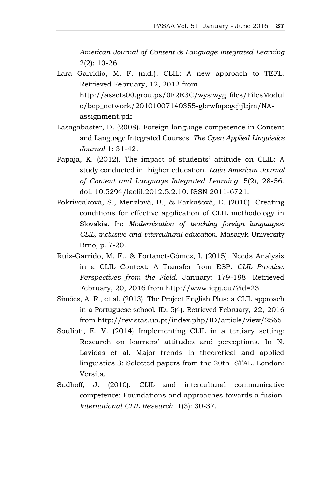*American Journal of Content & Language Integrated Learning* 2(2): 10-26.

- Lara Garridio, M. F. (n.d.). CLIL: A new approach to TEFL. Retrieved February, 12, 2012 from http://assets00.grou.ps/0F2E3C/wysiwyg\_files/FilesModul e/bep\_network[/2010100714035](http://assets00.grou.ps/0F2E3C/wysiwyg_files/FilesModule/bep_network/201010071403)5-gbrwfopegcjijlzjm/NAassignment.pdf
- Lasagabaster, D. (2008). Foreign language competence in Content and Language Integrated Courses. *The Open Applied Linguistics Journal* 1: 31-42*.*
- Papaja, K. (2012). The impact of students' attitude on CLIL: A study conducted in higher education. *Latin American Journal of Content and Language Integrated Learning*, 5(2), 28-56. doi: 10.5294/laclil.2012.5.2.10. ISSN 2011-6721.
- Pokrivcaková, S., Menzlová, B., & Farkašová, E. (2010). Creating conditions for effective application of CLIL methodology in Slovakia. In: *Modernization of teaching foreign languages: CLIL, inclusive and intercultural education*. Masaryk University Brno, p. 7-20.
- Ruiz-Garrido, M. F., & Fortanet-Gómez, I. (2015). Needs Analysis in a CLIL Context: A Transfer from ESP. *CLIL Practice: Perspectives from the Field*. January: 179-188. Retrieved February, 20, 2016 from <http://www.icpj.eu/?id=23>
- Simões, A. R., et al. (2013). The Project English Plus: a CLIL approach in a Portuguese school. ID. 5(4). Retrieved February, 22, 2016 from http://revistas.ua.pt/index.php/ID/article/view/2565
- Soulioti, E. V. (2014) Implementing CLIL in a tertiary setting: Research on learners' attitudes and perceptions. In N. Lavidas et al. Major trends in theoretical and applied linguistics 3: Selected papers from the 20th ISTAL. London: Versita.
- Sudhoff, J. (2010). CLIL and intercultural communicative competence: Foundations and approaches towards a fusion. *International CLIL Research*. 1(3): 30-37.